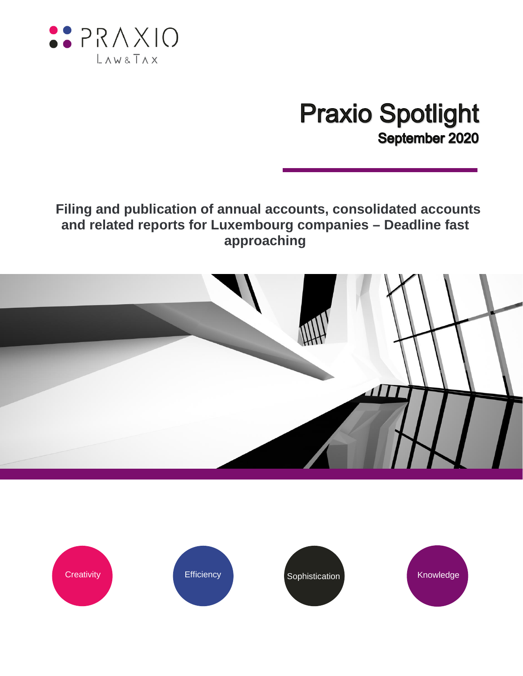

## **Praxio Spotlight** September 2020

## **Filing and publication of annual accounts, consolidated accounts and related reports for Luxembourg companies – Deadline fast approaching**



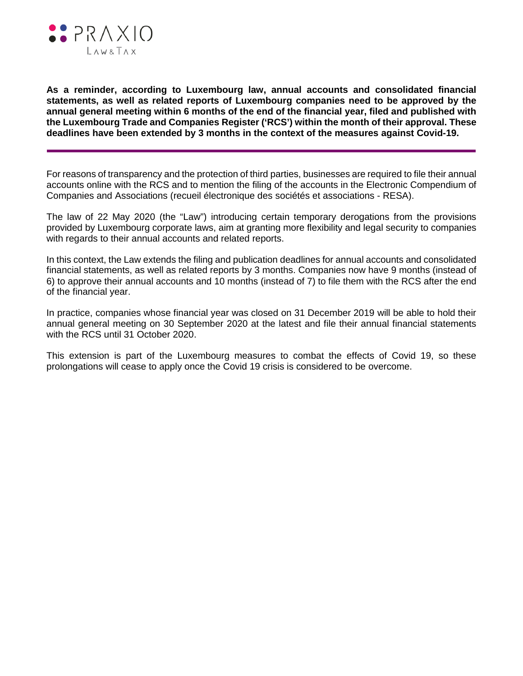

**As a reminder, according to Luxembourg law, annual accounts and consolidated financial statements, as well as related reports of Luxembourg companies need to be approved by the annual general meeting within 6 months of the end of the financial year, filed and published with the Luxembourg Trade and Companies Register ('RCS') within the month of their approval. These deadlines have been extended by 3 months in the context of the measures against Covid-19.**

For reasons of transparency and the protection of third parties, businesses are required to file their annual accounts online with the RCS and to mention the filing of the accounts in the Electronic Compendium of Companies and Associations (recueil électronique des sociétés et associations - RESA).

The law of 22 May 2020 (the "Law") introducing certain temporary derogations from the provisions provided by Luxembourg corporate laws, aim at granting more flexibility and legal security to companies with regards to their annual accounts and related reports.

In this context, the Law extends the filing and publication deadlines for annual accounts and consolidated financial statements, as well as related reports by 3 months. Companies now have 9 months (instead of 6) to approve their annual accounts and 10 months (instead of 7) to file them with the RCS after the end of the financial year.

In practice, companies whose financial year was closed on 31 December 2019 will be able to hold their annual general meeting on 30 September 2020 at the latest and file their annual financial statements with the RCS until 31 October 2020.

This extension is part of the Luxembourg measures to combat the effects of Covid 19, so these prolongations will cease to apply once the Covid 19 crisis is considered to be overcome.